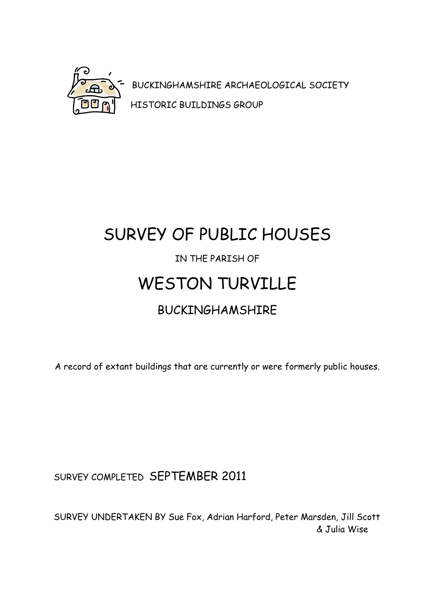

BUCKINGHAMSHIRE ARCHAEOLOGICAL SOCIETY HISTORIC BUILDINGS GROUP

# SURVEY OF PUBLIC HOUSES IN THE PARISH OF WESTON TURVILLE BUCKINGHAMSHIRE

A record of extant buildings that are currently or were formerly public houses.

SURVEY COMPLETED SEPTEMBER 2011

SURVEY UNDERTAKEN BY Sue Fox, Adrian Harford, Peter Marsden, Jill Scott & Julia Wise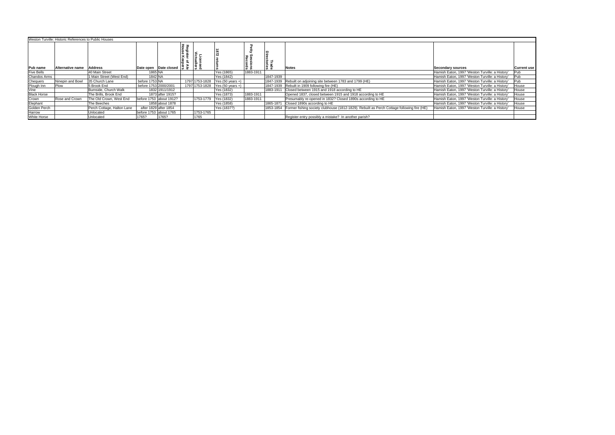| Weston Turville: Historic References to Public Houses |                  |                            |                         |                                                     |  |                |                            |                            |                         |                                                                                                      |                                                 |                    |
|-------------------------------------------------------|------------------|----------------------------|-------------------------|-----------------------------------------------------|--|----------------|----------------------------|----------------------------|-------------------------|------------------------------------------------------------------------------------------------------|-------------------------------------------------|--------------------|
|                                                       |                  |                            |                         |                                                     |  |                |                            | <b>Bessions</b><br>Records | <b>Irade</b><br>ctories |                                                                                                      |                                                 |                    |
| Pub name                                              | Alternative name | <b>Address</b>             |                         | Date open Date closed $\overline{a}$ $\overline{a}$ |  |                |                            |                            |                         | <b>Notes</b>                                                                                         | <b>Secondary sources</b>                        | <b>Current use</b> |
| <b>Five Bells</b>                                     |                  | 40 Main Street             | 1865 NA                 |                                                     |  |                | Yes (1865)                 | 1883-1911                  |                         |                                                                                                      | Hamish Eaton, 1997 'Weston Turville: a History' | IPub.              |
| <b>Chandos Arms</b>                                   |                  | 1 Main Street (West End)   | 1842 NA                 |                                                     |  |                | Yes (1842)                 |                            | 1847-1939               |                                                                                                      | Hamish Eaton, 1997 'Weston Turville: a History' | <b>IPub</b>        |
| Chequers                                              | Ninepin and Bowl | 35 Church Lane             | before 1753 NA          |                                                     |  | 1797 1753-1828 | Yes $(50 \text{ years} +)$ |                            |                         | 1847-1939 Rebuilt on adjoining site between 1783 and 1799 (HE)                                       | Hamish Eaton, 1997 'Weston Turville: a History' | <b>Pub</b>         |
| Plough Inn                                            | <b>Plow</b>      | 5 Brook End                | before 1753 2000/2001   |                                                     |  | 1797 1753-1828 | Yes $(50 \text{ years} +)$ |                            |                         | 1847-1939 Rebuilt in 1909 following fire (HE)                                                        | Hamish Eaton, 1997 'Weston Turville: a History' | House              |
| Vine                                                  |                  | Burnside, Church Walk      |                         | 1832 1911/1912                                      |  |                | Yes (1832)                 |                            |                         | 1883-1911 Closed between 1915 and 1918 according to HE                                               | Hamish Eaton, 1997 'Weston Turville: a History' | House              |
| <b>Black Horse</b>                                    |                  | The Brills, Brook End      |                         | 1873 after 1915?                                    |  |                | Yes (1873)                 | 1883-1911                  |                         | Opened 1837, closed between 1915 and 1918 according to HE                                            | Hamish Eaton, 1997 'Weston Turville: a History' | House              |
| Crown                                                 | Rose and Crown   | The Old Crown, West End    | before 1753 about 1912? |                                                     |  | 1753-1779      | Yes (1832)                 | 1883-1911                  |                         | Presumably re-opened in 1832? Closed 1890s according to HE                                           | Hamish Eaton, 1997 'Weston Turville: a History' | House              |
| Elephant                                              |                  | The Beeches                |                         | 1858 about 1878                                     |  |                | Yes (1858)                 |                            |                         | 1865-1871 Closed 1890s according to HE                                                               | Hamish Eaton, 1997 'Weston Turville: a History' | House              |
| Golden Perch                                          |                  | Perch Cottage, Halton Lane | after 1829 after 1854   |                                                     |  |                | Yes (1837?)                |                            |                         | 1853-1854 Former fishing society clubhouse (1812-1829). Rebuilt as Perch Cottage following fire (HE) | Hamish Eaton, 1997 'Weston Turville: a History' | House              |
| Harrow                                                |                  | Unlocated                  | before 1753 about 1765  |                                                     |  | 1753-1765      |                            |                            |                         |                                                                                                      |                                                 |                    |
| <b>White Horse</b>                                    |                  | Unlocated                  | 1765?                   | 1765?                                               |  | 1765           |                            |                            |                         | Register entry possibly a mistake? In another parish?                                                |                                                 |                    |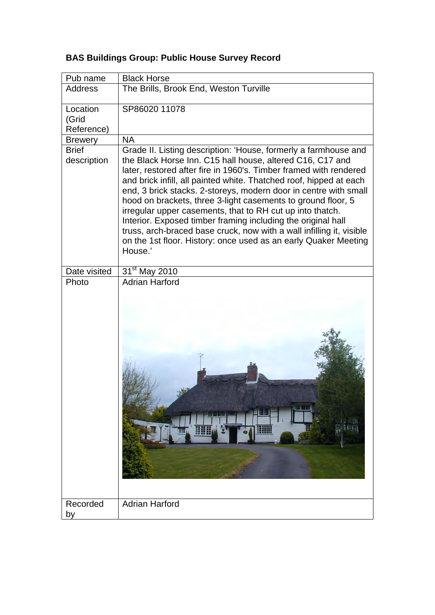| Pub name                        | <b>Black Horse</b>                                                                                                                                                                                                                                                                                                                                                                                                                                                                                                                                                                                                                                                                             |
|---------------------------------|------------------------------------------------------------------------------------------------------------------------------------------------------------------------------------------------------------------------------------------------------------------------------------------------------------------------------------------------------------------------------------------------------------------------------------------------------------------------------------------------------------------------------------------------------------------------------------------------------------------------------------------------------------------------------------------------|
| <b>Address</b>                  | The Brills, Brook End, Weston Turville                                                                                                                                                                                                                                                                                                                                                                                                                                                                                                                                                                                                                                                         |
| Location<br>(Grid<br>Reference) | SP86020 11078                                                                                                                                                                                                                                                                                                                                                                                                                                                                                                                                                                                                                                                                                  |
| <b>Brewery</b>                  | <b>NA</b>                                                                                                                                                                                                                                                                                                                                                                                                                                                                                                                                                                                                                                                                                      |
| <b>Brief</b><br>description     | Grade II. Listing description: 'House, formerly a farmhouse and<br>the Black Horse Inn. C15 hall house, altered C16, C17 and<br>later, restored after fire in 1960's. Timber framed with rendered<br>and brick infill, all painted white. Thatched roof, hipped at each<br>end, 3 brick stacks. 2-storeys, modern door in centre with small<br>hood on brackets, three 3-light casements to ground floor, 5<br>irregular upper casements, that to RH cut up into thatch.<br>Interior. Exposed timber framing including the original hall<br>truss, arch-braced base cruck, now with a wall infilling it, visible<br>on the 1st floor. History: once used as an early Quaker Meeting<br>House.' |
| Date visited                    | 31 <sup>st</sup> May 2010                                                                                                                                                                                                                                                                                                                                                                                                                                                                                                                                                                                                                                                                      |
| Photo                           | <b>Adrian Harford</b>                                                                                                                                                                                                                                                                                                                                                                                                                                                                                                                                                                                                                                                                          |
| Recorded<br>by                  | <b>Adrian Harford</b>                                                                                                                                                                                                                                                                                                                                                                                                                                                                                                                                                                                                                                                                          |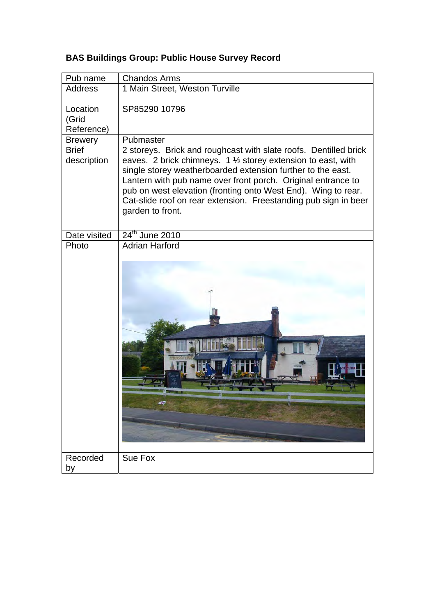| Pub name                        | <b>Chandos Arms</b>                                                                                                                                                                                                                                                                                                                                                                                                      |
|---------------------------------|--------------------------------------------------------------------------------------------------------------------------------------------------------------------------------------------------------------------------------------------------------------------------------------------------------------------------------------------------------------------------------------------------------------------------|
| <b>Address</b>                  | 1 Main Street, Weston Turville                                                                                                                                                                                                                                                                                                                                                                                           |
| Location<br>(Grid<br>Reference) | SP85290 10796                                                                                                                                                                                                                                                                                                                                                                                                            |
| <b>Brewery</b>                  | Pubmaster                                                                                                                                                                                                                                                                                                                                                                                                                |
| <b>Brief</b><br>description     | 2 storeys. Brick and roughcast with slate roofs. Dentilled brick<br>eaves. 2 brick chimneys. 1 1/2 storey extension to east, with<br>single storey weatherboarded extension further to the east.<br>Lantern with pub name over front porch. Original entrance to<br>pub on west elevation (fronting onto West End). Wing to rear.<br>Cat-slide roof on rear extension. Freestanding pub sign in beer<br>garden to front. |
| Date visited                    | 24 <sup>th</sup> June 2010                                                                                                                                                                                                                                                                                                                                                                                               |
| Photo                           | <b>Adrian Harford</b>                                                                                                                                                                                                                                                                                                                                                                                                    |
| Recorded<br>by                  | Sue Fox                                                                                                                                                                                                                                                                                                                                                                                                                  |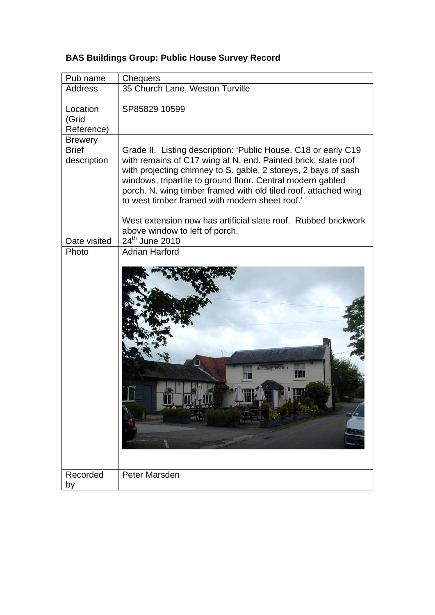| Pub name                        | <b>Chequers</b>                                                                                                                                                                                                                                                                                                                                                                                                                                        |
|---------------------------------|--------------------------------------------------------------------------------------------------------------------------------------------------------------------------------------------------------------------------------------------------------------------------------------------------------------------------------------------------------------------------------------------------------------------------------------------------------|
| <b>Address</b>                  | 35 Church Lane, Weston Turville                                                                                                                                                                                                                                                                                                                                                                                                                        |
| Location<br>(Grid<br>Reference) | SP85829 10599                                                                                                                                                                                                                                                                                                                                                                                                                                          |
| <b>Brewery</b>                  |                                                                                                                                                                                                                                                                                                                                                                                                                                                        |
| <b>Brief</b><br>description     | Grade II. Listing description: 'Public House. C18 or early C19<br>with remains of C17 wing at N. end. Painted brick, slate roof<br>with projecting chimney to S. gable. 2 storeys, 2 bays of sash<br>windows, tripartite to ground floor. Central modern gabled<br>porch. N. wing timber framed with old tiled roof, attached wing<br>to west timber framed with modern sheet roof.'<br>West extension now has artificial slate roof. Rubbed brickwork |
|                                 | above window to left of porch.                                                                                                                                                                                                                                                                                                                                                                                                                         |
| Date visited                    | 24 <sup>th</sup> June 2010                                                                                                                                                                                                                                                                                                                                                                                                                             |
| Photo                           | <b>Adrian Harford</b><br>the chequers inn                                                                                                                                                                                                                                                                                                                                                                                                              |
| Recorded<br>by                  | Peter Marsden                                                                                                                                                                                                                                                                                                                                                                                                                                          |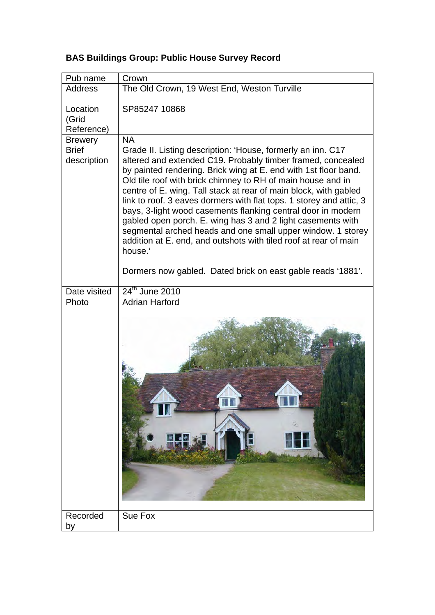| Pub name                    | Crown                                                                                                                                                                                                                                                                                                                                                                                                                                                                                                                                                                                                                                                                                                                                               |
|-----------------------------|-----------------------------------------------------------------------------------------------------------------------------------------------------------------------------------------------------------------------------------------------------------------------------------------------------------------------------------------------------------------------------------------------------------------------------------------------------------------------------------------------------------------------------------------------------------------------------------------------------------------------------------------------------------------------------------------------------------------------------------------------------|
| Address                     | The Old Crown, 19 West End, Weston Turville                                                                                                                                                                                                                                                                                                                                                                                                                                                                                                                                                                                                                                                                                                         |
| Location                    | SP85247 10868                                                                                                                                                                                                                                                                                                                                                                                                                                                                                                                                                                                                                                                                                                                                       |
| (Grid<br>Reference)         |                                                                                                                                                                                                                                                                                                                                                                                                                                                                                                                                                                                                                                                                                                                                                     |
| <b>Brewery</b>              | <b>NA</b>                                                                                                                                                                                                                                                                                                                                                                                                                                                                                                                                                                                                                                                                                                                                           |
| <b>Brief</b><br>description | Grade II. Listing description: 'House, formerly an inn. C17<br>altered and extended C19. Probably timber framed, concealed<br>by painted rendering. Brick wing at E. end with 1st floor band.<br>Old tile roof with brick chimney to RH of main house and in<br>centre of E. wing. Tall stack at rear of main block, with gabled<br>link to roof. 3 eaves dormers with flat tops. 1 storey and attic, 3<br>bays, 3-light wood casements flanking central door in modern<br>gabled open porch. E. wing has 3 and 2 light casements with<br>segmental arched heads and one small upper window. 1 storey<br>addition at E. end, and outshots with tiled roof at rear of main<br>house.'<br>Dormers now gabled. Dated brick on east gable reads '1881'. |
|                             |                                                                                                                                                                                                                                                                                                                                                                                                                                                                                                                                                                                                                                                                                                                                                     |
| Date visited<br>Photo       | 24 <sup>th</sup> June 2010<br><b>Adrian Harford</b>                                                                                                                                                                                                                                                                                                                                                                                                                                                                                                                                                                                                                                                                                                 |
|                             |                                                                                                                                                                                                                                                                                                                                                                                                                                                                                                                                                                                                                                                                                                                                                     |
| Recorded<br>by              | Sue Fox                                                                                                                                                                                                                                                                                                                                                                                                                                                                                                                                                                                                                                                                                                                                             |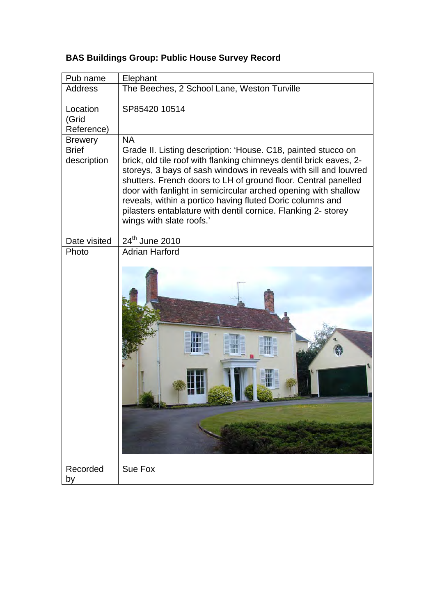| Pub name                        | Elephant                                                                                                                                                                                                                                                                                                                                                                                                                                                                                              |
|---------------------------------|-------------------------------------------------------------------------------------------------------------------------------------------------------------------------------------------------------------------------------------------------------------------------------------------------------------------------------------------------------------------------------------------------------------------------------------------------------------------------------------------------------|
| <b>Address</b>                  | The Beeches, 2 School Lane, Weston Turville                                                                                                                                                                                                                                                                                                                                                                                                                                                           |
| Location<br>(Grid<br>Reference) | SP85420 10514                                                                                                                                                                                                                                                                                                                                                                                                                                                                                         |
| <b>Brewery</b>                  | <b>NA</b>                                                                                                                                                                                                                                                                                                                                                                                                                                                                                             |
| <b>Brief</b><br>description     | Grade II. Listing description: 'House. C18, painted stucco on<br>brick, old tile roof with flanking chimneys dentil brick eaves, 2-<br>storeys, 3 bays of sash windows in reveals with sill and louvred<br>shutters. French doors to LH of ground floor. Central panelled<br>door with fanlight in semicircular arched opening with shallow<br>reveals, within a portico having fluted Doric columns and<br>pilasters entablature with dentil cornice. Flanking 2- storey<br>wings with slate roofs.' |
| Date visited                    | 24 <sup>th</sup> June 2010                                                                                                                                                                                                                                                                                                                                                                                                                                                                            |
| Photo                           | <b>Adrian Harford</b>                                                                                                                                                                                                                                                                                                                                                                                                                                                                                 |
| Recorded<br>by                  | Sue Fox                                                                                                                                                                                                                                                                                                                                                                                                                                                                                               |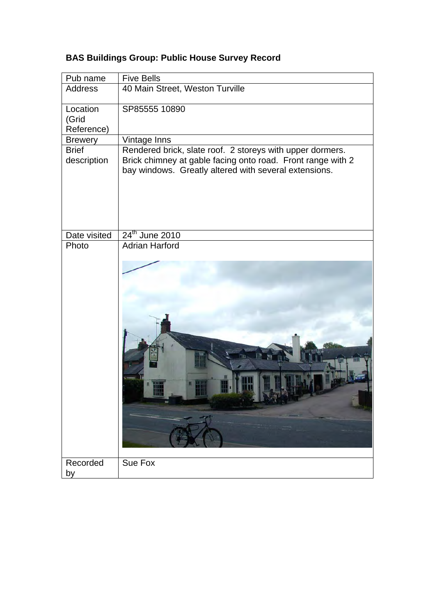| Pub name                        | <b>Five Bells</b>                                                                                                                                                                 |
|---------------------------------|-----------------------------------------------------------------------------------------------------------------------------------------------------------------------------------|
| <b>Address</b>                  | 40 Main Street, Weston Turville                                                                                                                                                   |
| Location<br>(Grid<br>Reference) | SP85555 10890                                                                                                                                                                     |
| <b>Brewery</b>                  | Vintage Inns                                                                                                                                                                      |
| <b>Brief</b><br>description     | Rendered brick, slate roof. 2 storeys with upper dormers.<br>Brick chimney at gable facing onto road. Front range with 2<br>bay windows. Greatly altered with several extensions. |
| Date visited                    | 24 <sup>th</sup> June 2010                                                                                                                                                        |
| Photo                           | <b>Adrian Harford</b>                                                                                                                                                             |
|                                 |                                                                                                                                                                                   |
| Recorded                        | Sue Fox                                                                                                                                                                           |
| by                              |                                                                                                                                                                                   |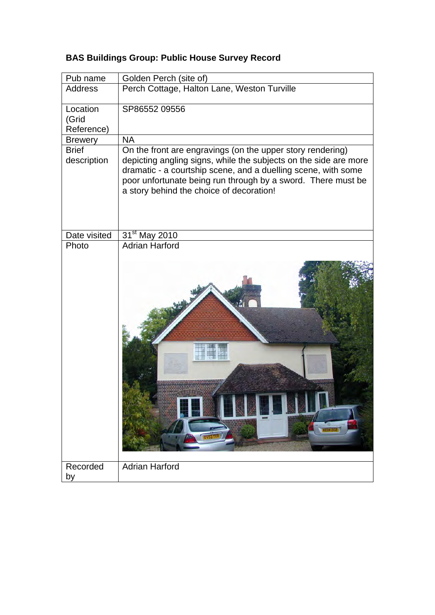| Pub name                        | Golden Perch (site of)                                                                                                                                                                                                                                                                                      |
|---------------------------------|-------------------------------------------------------------------------------------------------------------------------------------------------------------------------------------------------------------------------------------------------------------------------------------------------------------|
| <b>Address</b>                  | Perch Cottage, Halton Lane, Weston Turville                                                                                                                                                                                                                                                                 |
| Location<br>(Grid<br>Reference) | SP86552 09556                                                                                                                                                                                                                                                                                               |
| <b>Brewery</b>                  | <b>NA</b>                                                                                                                                                                                                                                                                                                   |
| <b>Brief</b><br>description     | On the front are engravings (on the upper story rendering)<br>depicting angling signs, while the subjects on the side are more<br>dramatic - a courtship scene, and a duelling scene, with some<br>poor unfortunate being run through by a sword. There must be<br>a story behind the choice of decoration! |
| Date visited                    | 31 <sup>st</sup> May 2010                                                                                                                                                                                                                                                                                   |
| Photo                           | <b>Adrian Harford</b>                                                                                                                                                                                                                                                                                       |
| Recorded                        | <b>KEDA 202</b><br><b>Adrian Harford</b>                                                                                                                                                                                                                                                                    |
| by                              |                                                                                                                                                                                                                                                                                                             |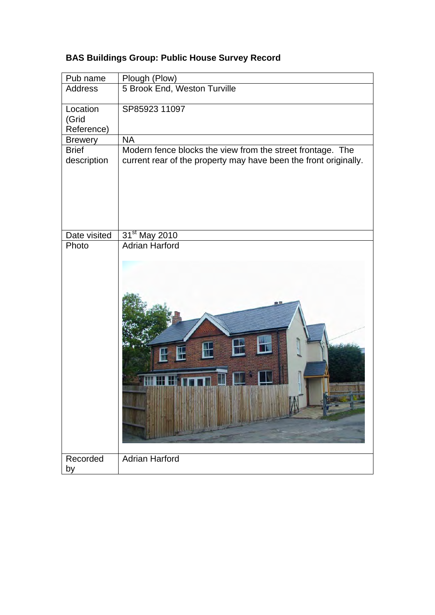| Pub name                        | Plough (Plow)                                                                                                                  |
|---------------------------------|--------------------------------------------------------------------------------------------------------------------------------|
| <b>Address</b>                  | 5 Brook End, Weston Turville                                                                                                   |
| Location<br>(Grid<br>Reference) | SP85923 11097                                                                                                                  |
| <b>Brewery</b>                  | <b>NA</b>                                                                                                                      |
| <b>Brief</b><br>description     | Modern fence blocks the view from the street frontage. The<br>current rear of the property may have been the front originally. |
| Date visited                    | 31 <sup>st</sup> May 2010                                                                                                      |
| Photo                           | <b>Adrian Harford</b>                                                                                                          |
| Recorded<br>by                  | <b>Adrian Harford</b>                                                                                                          |